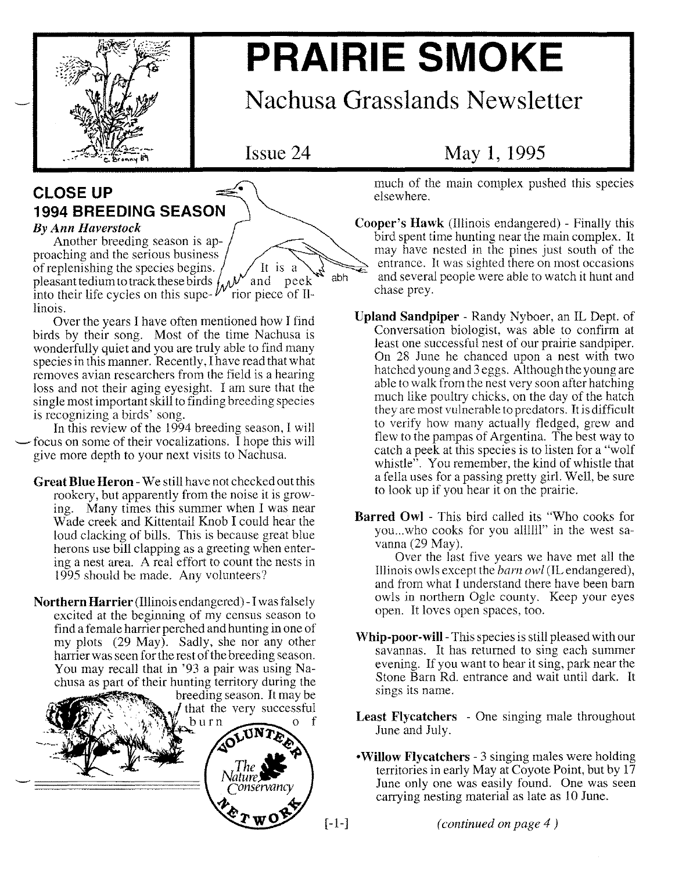

# **PRAIRIE SMOKE**

## Nachusa Grasslands Newsletter

Issue 24

### **CLOSE UP 1994 BREEDING SEASON**

#### *By Ann Haverstock*

Another breeding season is approaching and the serious business of replenishing the species begins. It is a abh pleasant tedium to track these birds into their life cycles on this supelinois.

Over the years I have often mentioned how I find birds by their song. Most of the time Nachusa is wonderfully quiet and you are truly able to find many species in this manner. Recently, I have read that what removes avian researchers from the field is a hearing loss and not their aging eyesight. I am sure that the single most important skill to finding breeding species is recognizing a birds' song.

In this review of the 1994 breeding season, I will -focus on some of their vocalizations. I hope this will give more depth to your next visits to Nachusa.

Great Blue Heron -We still have not checked out this rookery, but apparently from the noise it is growing. Many times this summer when I was near Wade creek and Kittentail Knob I could hear the loud clacking of bills. This is because great blue herons use bill clapping as a greeting when entering a nest area. A real effort to count the nests in 1995 should be made. Any volunteers?

Northern Harrier (Illinois endangered) -I was falsely excited at the beginning of my census season to find a female harrier perched and hunting in one of my plots (29 May). Sadly, she nor any other harrier was seen for the rest of the breeding season. You may recall that in '93 a pair was using Nachusa as part of their hunting territory during the



### May 1, 1995

much of the main complex pushed this species elsewhere.

- Cooper's Hawk (Illinois endangered) Finally this bird spent time hunting near the main complex. It may have nested in the pines just south of the entrance. It was sighted there on most occasions and several people were able to watch it hunt and chase prey.
- Upland Sandpiper Randy Nyboer, an IL Dept. of Conversation biologist, was able to confirm at least one successful nest of our prairie sandpiper. On 28 June he chanced upon a nest with two hatched young and 3 eggs. Although the young are able to walk from the nest very soon after hatching much like poultry chicks, on the day of the hatch they are most vulnerable to predators. It is difficult to verify how many actually fledged, grew and flew to the pampas of Argentina. The best way to catch a peek at this species is to listen for a "wolf whistle $\mathbf{r}$ . You remember, the kind of whistle that a fella uses for a passing pretty girl. Well, be sure to look up if you hear it on the prairie.
- Barred Owl This bird called its "Who cooks for you...who cooks for you allllll" in the west savanna (29 May).

Over the last five years we have met all the Illinois owls except the *barn owl* (IL endangered), and from what I understand there have been barn owls in northern Ogle county. Keep your eyes open. It loves open spaces, too.

- Whip-poor-will- This species is still pleased with our savannas. It has returned to sing each summer evening. If you want to hear it sing, park near the Stone Barn Rd. entrance and wait until dark. It sings its name.
- Least Flycatchers One singing male throughout June and July.
- •Willow Flycatchers 3 singing males were holding territories in early May at Coyote Point, but by  $17$ June only one was easily found. One was seen carrying nesting material as late as 10 June.

[-1-] *(continued on page* 4 )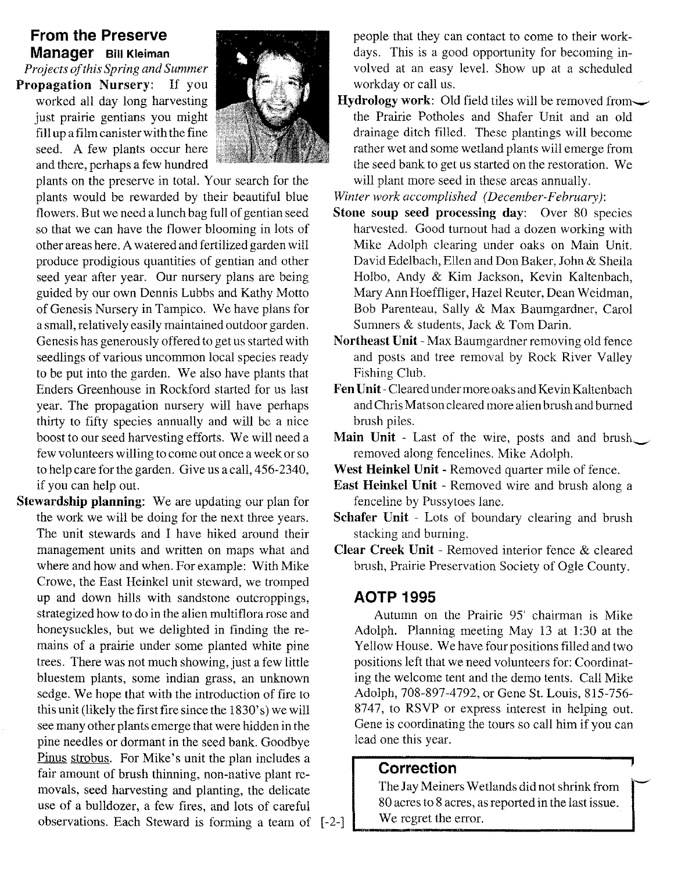#### **From the Preserve Manager Bill Kleiman**

*Projects of this Spring and Summer* **Propagation Nursery:** If you worked all day long harvesting just prairie gentians you might fill up a film canister with the fine seed. A few plants occur here and there, perhaps a few hundred



plants on the preserve in total. Your search for the plants would be rewarded by their beautiful blue flowers. But we need a lunch bag full of gentian seed so that we can have the flower blooming in lots of other areas here. A watered and fertilized garden will produce prodigious quantities of gentian and other seed year after year. Our nursery plans are being guided by our own Dennis Lubbs and Kathy Motto of Genesis Nursery in Tampico. We have plans for a small, relatively easily maintained outdoor garden. Genesis has generously offered to get us started with seedlings of various uncommon local species ready to be put into the garden. We also have plants that Enders Greenhouse in Rockford started for us last year. The propagation nursery will have perhaps thirty to fifty species annually and will be a nice boost to our seed harvesting efforts. We will need a few volunteers willing to come out once a week or so to help care for the garden. Give us a call, 456-2340, if you can help out.

**Stewardship planning:** We are updating our plan for the work we will be doing for the next three years. The unit stewards and I have hiked around their management units and written on maps what and where and how and when. For example: With Mike Crowe, the East Heinkel unit steward, we tromped up and down hills with sandstone outcroppings, strategized how to do in the alien multiflora rose and honeysuckles, but we delighted in finding the remains of a prairie under some planted white pine trees. There was not much showing, just a few little bluestem plants, some indian grass, an unknown sedge. We hope that with the introduction of fire to this unit (likely the first fire since the 1830' s) we will see many other plants emerge that were hidden in the pine needles or dormant in the seed bank. Goodbye Pinus strobus. For Mike's unit the plan includes a fair amount of brush thinning, non-native plant removals, seed harvesting and planting, the delicate use of a bulldozer, a few fires, and lots of careful observations. Each Steward is forming a team of [-2-] people that they can contact to come to their workdays. This is a good opportunity for becoming involved at an easy level. Show up at a scheduled workday or call us.

**Hydrology work:** Old field tiles will be removed from the Prairie Potholes and Shafer Unit and an old drainage ditch filled. These plantings will become rather wet and some wetland plants will emerge from the seed bank to get us started on the restoration. We will plant more seed in these areas annually.

*Winter work accomplished (December- February):*

- **Stone soup seed processing day:** Over 80 species harvested. Good turnout had a dozen working with Mike Adolph clearing under oaks on Main Unit. David Edelbach, Ellen and Don Baker, John & Sheila Holbo, Andy & Kim Jackson, Kevin Kaltenbach, Mary Ann Hoeffliger, Hazel Reuter, Dean Weidman, Bob Parenteau, Sally & Max Baumgardner, Carol Sumners & students, Jack & Tom Darin.
- **Northeast Unit -** Max Baumgardner removing old fence and posts and tree removal by Rock River Valley Fishing Club.
- **FenUnit-**Cleared under more oaks and Kevin Kaltenbach and Chris Matson cleared more alien brush and burned brush piles.
- **Main Unit -** Last of the wire, posts and and brush removed along fencelines. Mike Adolph.
- **West Heinkel Unit -** Removed quarter mile of fence.
- **East Heinkel Unit -** Removed wire and brush along a fenceline by Pussytoes lane.
- **Schafer Unit -** Lots of boundary clearing and brush stacking and burning.
- **Clear Creek Unit -** Removed interior fence & cleared brush, Prairie Preservation Society of Ogle County.

#### **AOTP 1995**

Autumn on the Prairie 95' chairman is Mike Adolph. Planning meeting May 13 at 1:30 at the Yellow House. We have four positions filled and two positions left that we need volunteers for: Coordinating the welcome tent and the demo tents. Call Mike Adolph, 708-897-4792, or Gene St. Louis, 815-756- 8747, to RSVP or express interest in helping out. Gene is coordinating the tours so call him if you can lead one this year.

#### **Correction**

The Jay Meiners Wetlands did not shrink from 80 acres to 8 acres, as reported in the last issue. We regret the error.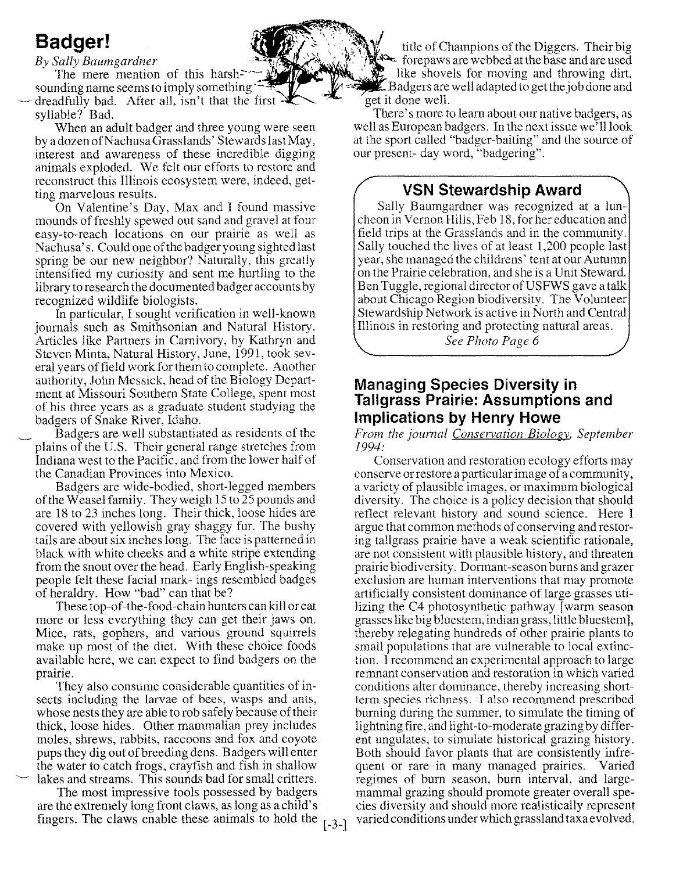### **Badger!**

*By Sally Baumgardner*

The mere mention of this harshsounding name seems to imply something " dreadfully bad. After all, isn't that the first  $\cdot$ syllable? Bad.

When an adult badger and three young were seen by a dozen of Nachusa Grasslands' Stewards last May, interest and awareness of these incredible digging animals exploded. We felt our efforts to restore and reconstruct this Illinois ecosystem were, indeed, getting marvelous results.

On Valentine's Day, Max and I found massive mounds of freshly spewed out sand and gravel at four easy-to-reach locations on our prairie as well as Nachusa's. Could one of the badger young sighted last spring be our new neighbor? Naturally, this greatly intensified my curiosity and sent me hurtling to the library to research the documented badger accounts by recognized wildlife biologists.

In particular, I sought verification in well-known journals such as Smithsonian and Natural History. Articles like Partners in Carnivory, by Kathryn and Steven Minta, Natural History, June, 1991, took several years offield work for them to complete. Another authority, John Messick, head of the Biology Department at Missouri Southern State College, spent most of his three years as a graduate student studying the badgers of Snake River, Idaho.

Badgers are well substantiated as residents of the plains of the U.S. Their general range stretches from Indiana west to the Pacific, and from the lower half of the Canadian Provinces into Mexico.

Badgers are wide-bodied, short-legged members of the Weasel family. They weigh 15to 25 pounds and are 18 to 23 inches long. Their thick, loose hides are covered with yellowish gray shaggy fur. The bushy tails are about six inches long. The face is patterned in black with white cheeks and a white stripe extending from the snout over the head. Early English-speaking people felt these facial mark- ings resembled badges of heraldry. How "bad" can that be?

These top-of-the- food-chain hunters can kill or eat more or less everything they can get their jaws on. Mice, rats, gophers, and various ground squirrels make up most of the diet. With these choice foods available here, we can expect to find badgers on the prairie.

They also consume considerable quantities of insects including the larvae of bees, wasps and ants, whose nests they are able to rob safely because of their thick, loose hides. Other mammalian prey includes moles, shrews, rabbits, raccoons and fox and coyote pups they dig out of breeding dens. Badgers will enter the water to catch frogs, crayfish and fish in shallow lakes and streams. This sounds bad for small critters.

The most impressive tools possessed by badgers are the extremely long front claws, as long as a child's fingers. The claws enable these animals to hold the  $\lceil -3-1 \rceil$ 

title of Champions of the Diggers. Their big  $\triangleright$  forepaws are webbed at the base and are used like shovels for moving and throwing dirt.  $\mathbb Z$  Badgers are well adapted to get the job done and get it done well.

There's more to learn about our native badgers, as well as European badgers. In the next issue we'll look at the sport called "badger-baiting" and the source of our present-day word, "badgering".

#### **VSN Stewardship Award**

Sally Baumgardner was recognized at a luncheon in Vernon Hills, Feb 18, for her education and field trips at the Grasslands and in the community. Sally touched the lives of at least 1,200 people last year, she managed the childrens' tent at our Autumn on the Prairie celebration, and she is a Unit Steward. Ben Tuggle, regional director of USFWS gave a talk about Chicago Region biodiversity. The Volunteer Stewardship Network is active in North and Central Illinois in restoring and protecting natural areas.

*See Photo Page 6*

#### **Managing Species Diversity in Tallgrass Prairie: Assumptions and Implications by Henry Howe**

*From the journal Conservation Biology, September* 1994:

Conservation and restoration ecology efforts may conserve or restore a particular image of a community, a variety of plausible images, or maximum biological diversity. The choice is a policy decision that should reflect relevant history and sound science. Here I argue that common methods of conserving and restoring tallgrass prairie have a weak scientific rationale, are not consistent with plausible history, and threaten prairie biodiversity. Dormant-season burns and grazer exclusion are human interventions that may promote artificially consistent dominance of large grasses utilizing the C4 photosynthetic pathway [warm season grasses like big bluestem, indian grass, little bluestem], thereby relegating hundreds of other prairie plants to small populations that are vulnerable to local extinction. I recommend an experimental approach to large remnant conservation and restoration in which varied conditions alter dominance, thereby increasing shortterm species richness. I also recommend prescribed burning during the summer, to simulate the timing of lightning fire, and light -to-moderate grazing by different ungulates, to simulate historical grazing history. Both should favor plants that are consistently infrequent or rare in many managed prairies. Varied regimes of burn season, burn interval, and largemammal grazing should promote greater overall species diversity and should more realistically represent varied conditions under which grassland taxa evolved.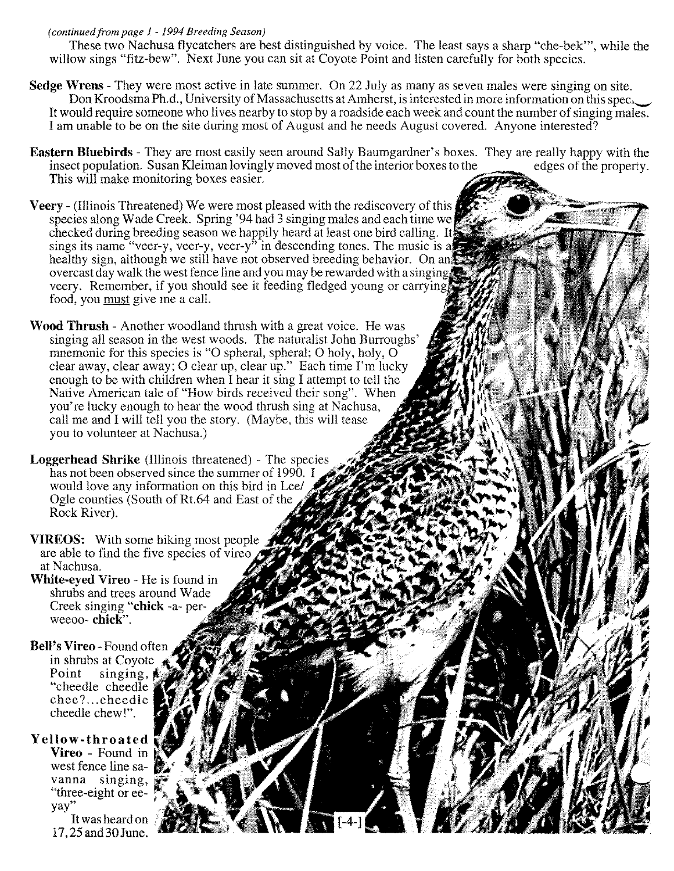#### *(continued from page* 1 - 1994 *Breeding Season)*

These two Nachusa flycatchers are best distinguished by voice. The least says a sharp "che-bek'", while the willow sings "fitz-bew". Next June you can sit at Coyote Point and listen carefully for both species.

- Sedge Wrens They were most active in late summer. On 22 July as many as seven males were singing on site. Don Kroodsma Ph.d., University of Massachusetts at Amherst, is interested in more information on this spec, It would require someone who lives nearby to stop by a roadside each week and count the number of singing males. I am unable to be on the site during most of August and he needs August covered. Anyone interested?
- Eastern Bluebirds They are most easily seen around Sally Baumgardner's boxes. They are really happy with the insect population. Susan Kleiman lovingly moved most of the interior boxes to the edges of the property. This will make monitoring boxes easier.

∫[-4-]

- Veery (Illinois Threatened) We were most pleased with the rediscovery of this species along Wade Creek. Spring' 94 had 3 singing males and each time we checked during breeding season we happily heard at least one bird calling. sings its name "veer-y, veer-y, veer-y" in descending tones. The music is a healthy sign, although we still have not observed breeding behavior. On an overcast day walk the west fence line and you may be rewarded with a singing veery. Remember, if you should see it feeding fledged young or carrying. food, you must give me a call.
- Wood Thrush Another woodland thrush with a great voice. He was singing all season in the west woods. The naturalist John Burroughs' mnemonic for this species is "O spheral, spheral; O holy, holy, O clear away, clear away; 0 clear up, clear up." Each time I'm lucky enough to be with children when I hear it sing I attempt to tell the Native American tale of "How birds received their song". When you're lucky enough to hear the wood thrush sing at Nachusa, call me and I will tell you the story. (Maybe, this will tease you to volunteer at Nachusa.)
- Loggerhead Shrike (Illinois threatened) The species has not been observed since the summer of 1990. I would love any information on this bird in Lee/ Ogle counties (South of Rt.64 and East of the Rock River).
- VIREOS: With some hiking most people are able to find the five species of vired at Nachusa.

*r*

- White-eyed Vireo He is found in shrubs and trees around Wade Creek singing "chick -a- perweeoo- chick".
- Bell's Vireo -Found often in shrubs at Coyote Point singing, "cheedle cheedle chee? .. cheedle cheedle chew!".

#### Yellow-throated

Vireo - Found in west fence line savanna singing, "three-eight or eeyay"

It was heard on 17,25 and 30 June.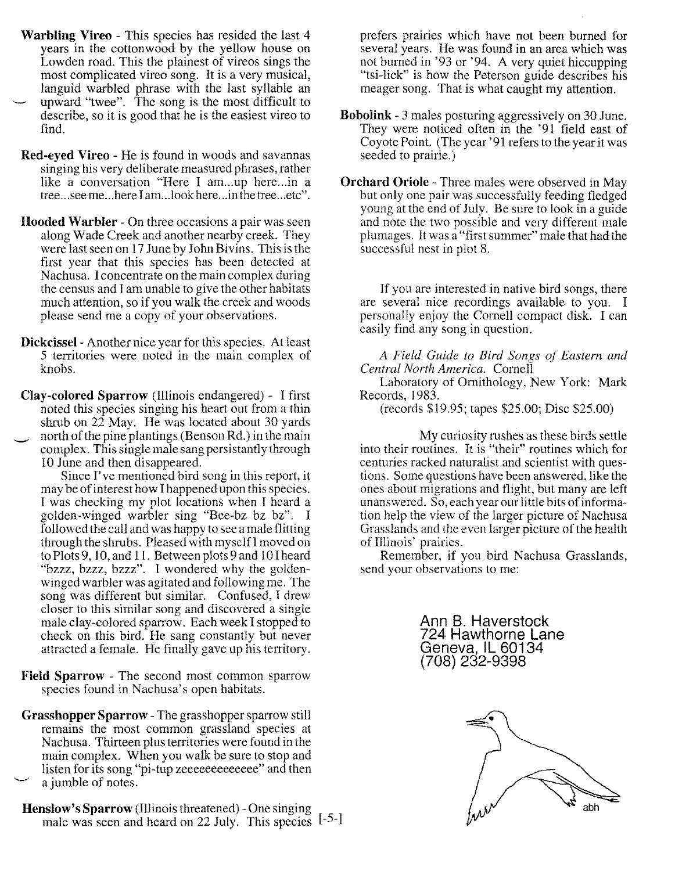- **Warbling** Vireo This species has resided the last 4 years in the cottonwood by the yellow house on Lowden road. This the plainest of vireos sings the most complicated vireo song. It is a very musical, languid warbled phrase with the last syllable an upward "twee". The song is the most difficult to describe, so it is good that he is the easiest vireo to
- Red-eyed Vireo He is found in woods and savannas singing his very deliberate measured phrases, rather like a conversation "Here I am...up here...in a tree ...see me ...here I am ...lookhere ...in the tree ...etc".

find.

- Hooded Warbler On three occasions a pair was seen along Wade Creek and another nearby creek. They were last seen on 17 June by John Bivins. This is the first year that this species has been detected at Nachusa. I concentrate on the main complex during the census and I am unable to give the other habitats much attention, so if you walk the creek and woods please send me a copy of your observations.
- Dickcissel- Another nice year for this species. At least 5 territories were noted in the main complex of knobs.
- Clay-colored Sparrow (Illinois endangered) I first noted this species singing his heart out from a thin shrub on  $22$  May. He was located about 30 yards north of the pine plantings (Benson Rd.) in the main complex. This single male sang persistantly through

10 June and then disappeared. Since I've mentioned bird song in this report, it may be of interest how I happened upon this species. I was checking my plot locations when I heard a golden-winged warbler sing "Bee-bz bz bz". I followed the call and was happy to see a male flitting through the shrubs. Pleased with myselfI moved on to Plots 9, 10, and 11. Between plots 9 and 10I heard "bzzz, bzzz, bzzz". I wondered why the goldenwinged warbler was agitated and following me. The song was different but similar. Confused, I drew closer to this similar song and discovered a single male clay -colored sparrow. Each week I stopped to check on this bird. He sang constantly but never attracted a female. He finally gave up his territory.

- Field Sparrow The second most common sparrow species found in Nachusa's open habitats.
- Grasshopper Sparrow The grasshopper sparrow still remains the most common grassland species at Nachusa. Thirteen plus territories were found in the main complex. When you walk be sure to stop and listen for its song "pi-tup zeeeeeeeeeeeee" and then a jumble of notes.
- Henslow's Sparrow (Illinois threatened) One singing male was seen and heard on 22 July. This species [-5-]

prefers prairies which have not been burned for several years. He was found in an area which was not burned in '93 or '94. A very quiet hiccupping "tsi-lick" is how the Peterson guide describes his meager song. That is what caught my attention.

- Bobolink 3 males posturing aggressively on 30 June. They were noticed often in the '91 field east of Coyote Point. (The year '91 refers to the year it was seeded to prairie.)
- Orchard Oriole Three males were observed in May but only one pair was successfully feeding fledged young at the end of July. Be sure to look in a guide and note the two possible and very different male plumages. It was a "first summer" male that had the successful nest in plot 8.

If you are interested in native bird songs, there are several nice recordings available to you. I personally enjoy the Cornell compact disk. I can easily find any song in question.

*A Field Guide to Bird Songs of Eastern and Central North America.* Cornell

Laboratory of Ornithology, New York: Mark Records, 1983.

(records \$19.95; tapes \$25.00; Disc \$25.00)

My curiosity rushes as these birds settle into their routines. It is "their" routines which for centuries racked naturalist and scientist with questions. Some questions have been answered, like the ones about migrations and flight, but many are left unanswered. So, each year our little bits of information help the view of the larger picture of Nachusa Grasslands and the even larger picture of the health of Illinois' prairies.

Remember, if you bird Nachusa Grasslands, send your observations to me:

> Ann B. Haverstock 724 Hawthorne Lane Geneva, IL 60134 (708) 232-9398

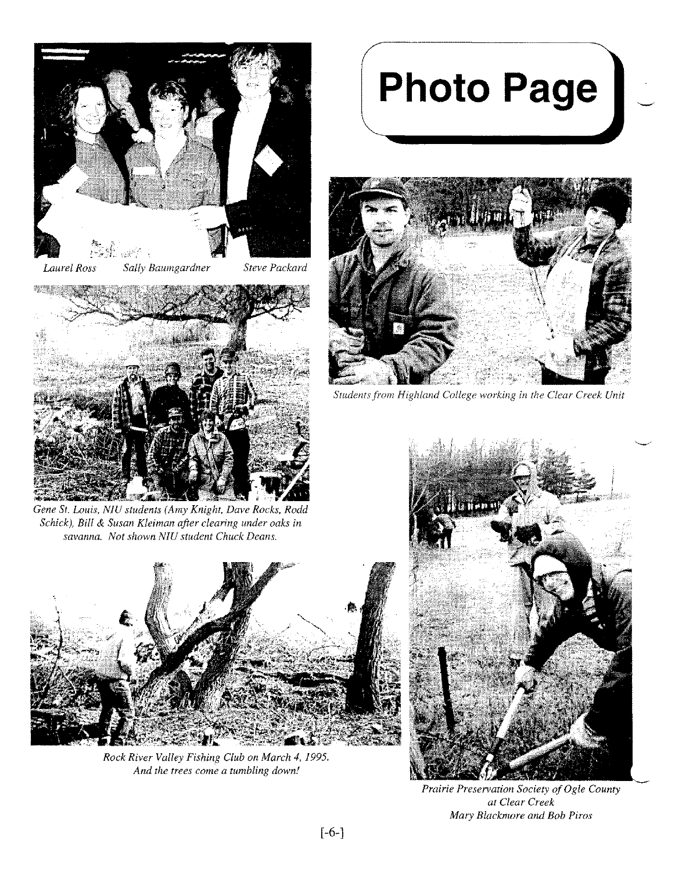

*Laurel Ross Sally Baumgardner Steve Packard*



*Gene St. Louis, N1U students (Amy Knight, Dave Rocks, Rodd Schick), Bill* & *Susan Kleiman after clearing under oaks in savanna. Not shown N1U student Chuck Deans.*



*Rock River Valley Fishing Club on March* 4,1995. *And the trees come a tumbling down!*

# **Photo Page**



*Students from Highland College working in the Clear Creek Unit*



*Prairie Preservation Society of Ogle County at Clear Creek Mary Blackmore and Bob Piros*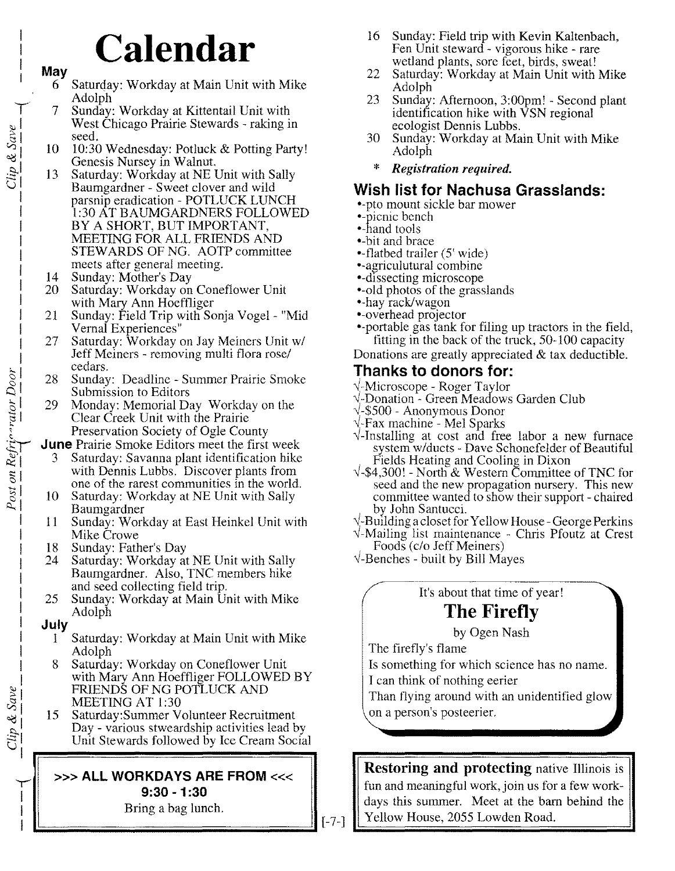## **Calendar**

#### **May**

 $Clip & Save$ 

 $\frac{Post \text{ on } Refri^{\alpha \text{ -}rdtor} \text{ Door}}{ \equiv \equiv \equiv \equiv}$ 

- 6 Saturday: Workday at Main Unit with Mike Adolph
- 7 Sunday: Workday at Kittentail Unit with West Chicago Prairie Stewards - raking in seed.
- 10 10:30 Wednesday: Potluck & Potting Party! Genesis Nursey in Walnut.
- 13 Saturday: Workday at NE Unit with Sally Baumgardner - Sweet clover and wild parsnip eradication - POTLUCK LUNCH 1:30 AT BAUMGARDNERS FOLLOWED BY A SHORT, BUT IMPORTANT, MEETING FOR ALL FRIENDS AND STEWARDS OF NG. AOTP committee meets after general meeting.
- 14 Sunday: Mother's Day<br>20 Saturday: Workday on
- Saturday: Workday on Coneflower Unit with Mary Ann Hoeffliger
- 21 Sunday: Field Trip with Sonja Vogel- "Mid Vernal Experiences"
- 27 Saturday: Workday on Jay Meiners Unit *wi* Jeff Meiners - removing multi flora rose/ cedars.
- 28 Sunday: Deadline Summer Prairie Smoke Submission to Editors
- 29 Monday: Memorial Day Workday on the Clear Creek Unit with the Prairie Preservation Society of Ogle County

**June** Prairie Smoke Editors meet the first week

- 3 Saturday: Savanna plant identification hike with Dennis Lubbs. Discover plants from one of the rarest communities in the world.
- 10 Saturday: Workday at NE Unit with Sally Baumgardner
- 11 Sunday: Workday at East Heinkel Unit with Mike Crowe
- 18 Sunday: Father's Day
- 24 Saturday: Workday at NE Unit with Sally Baumgardner. Also, TNC members hike and seed collecting field trip.
- 25 Sunday: Workday at Main Unit with Mike Adolph

#### **July**

*y* I I I

 $Tlip$  & Save

- Saturday: Workday at Main Unit with Mike Adolph
- 8 Saturday: Workday on Coneflower Unit with Mary Ann Hoeffliger FOLLOWED BY FRIENDS OF NG POTLUCK AND MEETING AT 1:30
- 15 Saturday:Summer Volunteer Recruitment Day - various stweardship activities lead by Unit Stewards followed by Ice Cream Social

#### »> **ALL WORKDAYS ARE FROM** «< **9:30 -1 :30**

Bring a bag lunch.

- 16 Sunday: Field trip with Kevin Kaltenbach, Fen Unit steward - vigorous hike - rare wetland plants, sore feet, birds, sweat!
- 22 Saturday: Workday at Main Unit with Mike Adolph
- 23 Sunday: Afternoon, 3:00pm! Second plant identification hike with VSN regional ecologist Dennis Lubbs.
- 30 Sunday: Workday at Main Unit with Mike Adolph
- *\* Registration required.*

#### **Wish list for Nachusa Grasslands:**

\*-pto mount sickle bar mower

- =picnic bench
- •-hand tools
- =-bit and brace
- $\blacktriangleright$ -flatbed trailer (5' wide) • agriculutural combine
- =dissecting microscope
- •-old photos of the grasslands
- •-hay rack/wagon
- \*-overhead projector
- •-portable gas tank for filing up tractors in the field, fitting in the back of the truck, 50-100 capacity

Donations are greatly appreciated  $&$  tax deductible.

#### **Thanks to donors for:**

- vi-Microscope Roger Taylor
- vi-Donation Green Meadows Garden Club
- vi-\$500 Anonymous Donor
- vi-Fax machine Mel Sparks
- $\sqrt{\frac{1}{1}}$ -Installing at cost and free labor a new furnace system *wlducts -* Dave Schonefelder of Beautiful Fields Heating and Cooling in Dixon
- *v*<sup>-</sup>\$4,300! North & Western Committee of TNC for seed and the new propagation nursery. This new committee wanted to show their support - chaired by John Santucci.
- $\sqrt{\ }$ -Building a closet for Yellow House George Perkins
- $\sqrt{M}$ ailing list maintenance Chris Pfoutz at Crest Foods *(c/o* Jeff Meiners)
- $\sqrt{\ }$ -Benches built by Bill Mayes

It's about that time of year! **The Firefly**

by Ogen Nash

The firefly's flame

Is something for which science has no name.

I can think of nothing eerier

Than flying around with an unidentified glow on a person's posteerier.

**Restoring and protecting** native Illinois is fun and meaningful work, join us for a few workdays this summer. Meet at the bam behind the  $\begin{bmatrix} 1 & -7 \\ 1 & \end{bmatrix}$  Yellow House, 2055 Lowden Road.